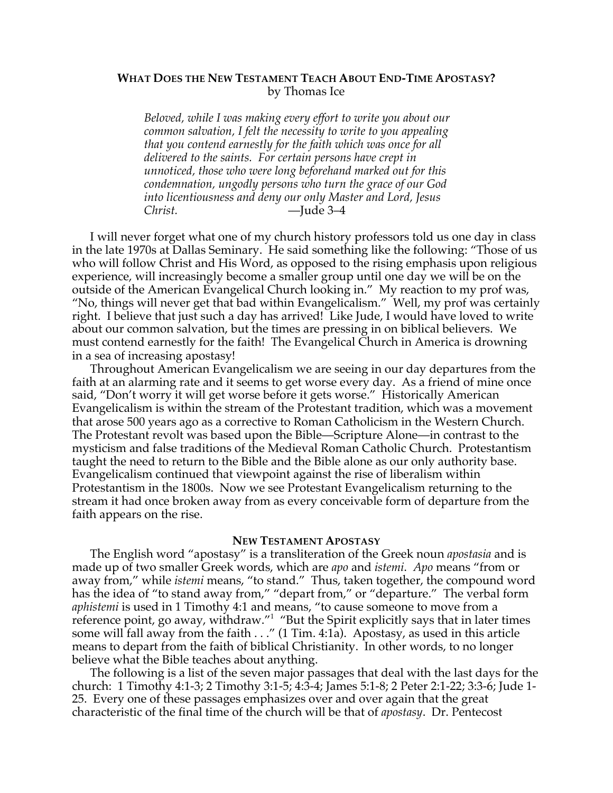### **WHAT DOES THE NEW TESTAMENT TEACH ABOUT END-TIME APOSTASY?** by Thomas Ice

*Beloved, while I was making every effort to write you about our common salvation, I felt the necessity to write to you appealing that you contend earnestly for the faith which was once for all delivered to the saints. For certain persons have crept in unnoticed, those who were long beforehand marked out for this condemnation, ungodly persons who turn the grace of our God into licentiousness and deny our only Master and Lord, Jesus Christ.* —Jude 3–4

I will never forget what one of my church history professors told us one day in class in the late 1970s at Dallas Seminary. He said something like the following: "Those of us who will follow Christ and His Word, as opposed to the rising emphasis upon religious experience, will increasingly become a smaller group until one day we will be on the outside of the American Evangelical Church looking in." My reaction to my prof was, "No, things will never get that bad within Evangelicalism." Well, my prof was certainly right. I believe that just such a day has arrived! Like Jude, I would have loved to write about our common salvation, but the times are pressing in on biblical believers. We must contend earnestly for the faith! The Evangelical Church in America is drowning in a sea of increasing apostasy!

Throughout American Evangelicalism we are seeing in our day departures from the faith at an alarming rate and it seems to get worse every day. As a friend of mine once said, "Don't worry it will get worse before it gets worse." Historically American Evangelicalism is within the stream of the Protestant tradition, which was a movement that arose 500 years ago as a corrective to Roman Catholicism in the Western Church. The Protestant revolt was based upon the Bible—Scripture Alone—in contrast to the mysticism and false traditions of the Medieval Roman Catholic Church. Protestantism taught the need to return to the Bible and the Bible alone as our only authority base. Evangelicalism continued that viewpoint against the rise of liberalism within Protestantism in the 1800s. Now we see Protestant Evangelicalism returning to the stream it had once broken away from as every conceivable form of departure from the faith appears on the rise.

### **NEW TESTAMENT APOSTASY**

The English word "apostasy" is a transliteration of the Greek noun *apostasia* and is made up of two smaller Greek words, which are *apo* and *istemi*. *Apo* means "from or away from," while *istemi* means, "to stand." Thus, taken together, the compound word has the idea of "to stand away from," "depart from," or "departure." The verbal form *aphistemi* is used in 1 Timothy 4:1 and means, "to cause someone to move from a reference point, go away, withdraw."<sup>1</sup> "But the Spirit explicitly says that in later times some will fall away from the faith . . ." (1 Tim. 4:1a). Apostasy, as used in this article means to depart from the faith of biblical Christianity. In other words, to no longer believe what the Bible teaches about anything.

The following is a list of the seven major passages that deal with the last days for the church: 1 Timothy 4:1-3; 2 Timothy 3:1-5; 4:3-4; James 5:1-8; 2 Peter 2:1-22; 3:3-6; Jude 1- 25. Every one of these passages emphasizes over and over again that the great characteristic of the final time of the church will be that of *apostasy*. Dr. Pentecost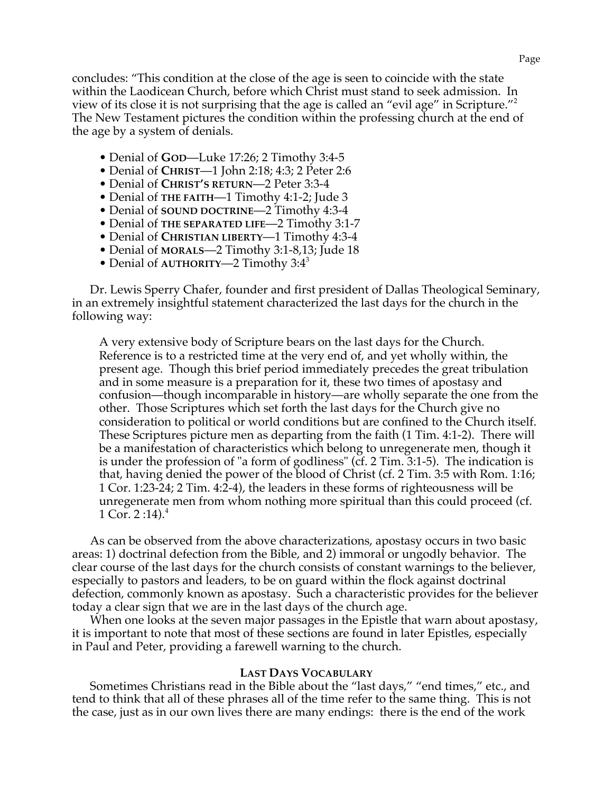concludes: "This condition at the close of the age is seen to coincide with the state within the Laodicean Church, before which Christ must stand to seek admission. In view of its close it is not surprising that the age is called an "evil age" in Scripture."<sup>2</sup> The New Testament pictures the condition within the professing church at the end of the age by a system of denials.

- Denial of **GOD**—Luke 17:26; 2 Timothy 3:4-5
- Denial of **CHRIST**—1 John 2:18; 4:3; 2 Peter 2:6
- Denial of **CHRIST'S RETURN**—2 Peter 3:3-4
- Denial of **THE FAITH**—1 Timothy 4:1-2; Jude 3
- Denial of **SOUND DOCTRINE**—2 Timothy 4:3-4
- Denial of **THE SEPARATED LIFE**—2 Timothy 3:1-7
- Denial of **CHRISTIAN LIBERTY**—1 Timothy 4:3-4
- Denial of **MORALS**—2 Timothy 3:1-8,13; Jude 18
- Denial of **AUTHORITY—2** Timothy 3:4<sup>3</sup>

Dr. Lewis Sperry Chafer, founder and first president of Dallas Theological Seminary, in an extremely insightful statement characterized the last days for the church in the following way:

A very extensive body of Scripture bears on the last days for the Church. Reference is to a restricted time at the very end of, and yet wholly within, the present age. Though this brief period immediately precedes the great tribulation and in some measure is a preparation for it, these two times of apostasy and confusion—though incomparable in history—are wholly separate the one from the other. Those Scriptures which set forth the last days for the Church give no consideration to political or world conditions but are confined to the Church itself. These Scriptures picture men as departing from the faith (1 Tim. 4:1-2). There will be a manifestation of characteristics which belong to unregenerate men, though it is under the profession of "a form of godliness" (cf. 2 Tim. 3:1-5). The indication is that, having denied the power of the blood of Christ (cf. 2 Tim. 3:5 with Rom. 1:16; 1 Cor. 1:23-24; 2 Tim. 4:2-4), the leaders in these forms of righteousness will be unregenerate men from whom nothing more spiritual than this could proceed (cf. 1 Cor. 2 :14). $^4$ 

As can be observed from the above characterizations, apostasy occurs in two basic areas: 1) doctrinal defection from the Bible, and 2) immoral or ungodly behavior. The clear course of the last days for the church consists of constant warnings to the believer, especially to pastors and leaders, to be on guard within the flock against doctrinal defection, commonly known as apostasy. Such a characteristic provides for the believer today a clear sign that we are in the last days of the church age.

When one looks at the seven major passages in the Epistle that warn about apostasy, it is important to note that most of these sections are found in later Epistles, especially in Paul and Peter, providing a farewell warning to the church.

### **LAST DAYS VOCABULARY**

Sometimes Christians read in the Bible about the "last days," "end times," etc., and tend to think that all of these phrases all of the time refer to the same thing. This is not the case, just as in our own lives there are many endings: there is the end of the work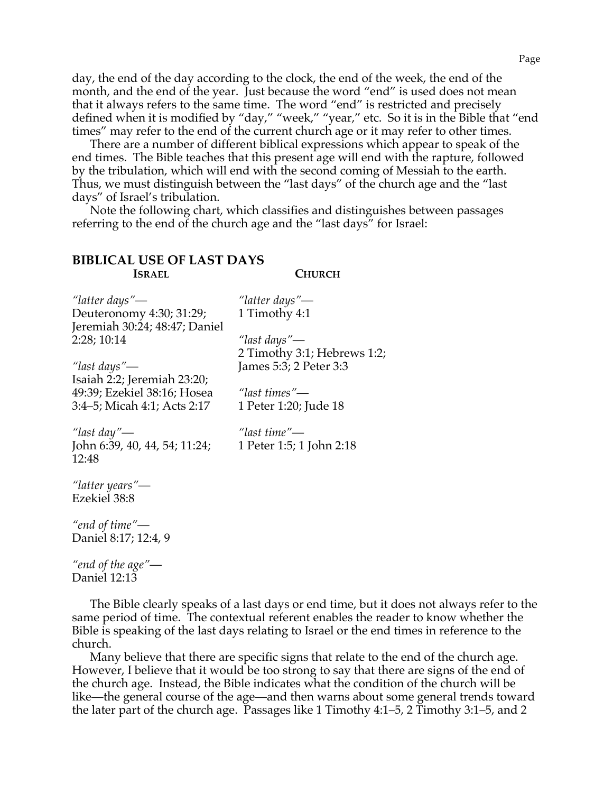day, the end of the day according to the clock, the end of the week, the end of the month, and the end of the year. Just because the word "end" is used does not mean that it always refers to the same time. The word "end" is restricted and precisely defined when it is modified by "day," "week," "year," etc. So it is in the Bible that "end times" may refer to the end of the current church age or it may refer to other times.

There are a number of different biblical expressions which appear to speak of the end times. The Bible teaches that this present age will end with the rapture, followed by the tribulation, which will end with the second coming of Messiah to the earth. Thus, we must distinguish between the "last days" of the church age and the "last days" of Israel's tribulation.

Note the following chart, which classifies and distinguishes between passages referring to the end of the church age and the "last days" for Israel:

> *"latter days"*— 1 Timothy 4:1

*"last days"*—

*"last times"*—

### **BIBLICAL USE OF LAST DAYS ISRAEL**

**CHURCH**

2 Timothy 3:1; Hebrews 1:2;

*"latter days"*— Deuteronomy 4:30; 31:29; Jeremiah 30:24; 48:47; Daniel 2:28; 10:14

*"last days"*— Isaiah 2:2; Jeremiah 23:20; 49:39; Ezekiel 38:16; Hosea 3:4–5; Micah 4:1; Acts 2:17

*"last day"*— John 6:39, 40, 44, 54; 11:24; 12:48

*"last time"*— 1 Peter 1:5; 1 John 2:18

1 Peter 1:20; Jude 18

James 5:3; 2 Peter 3:3

*"latter years"*— Ezekiel 38:8

*"end of time"*— Daniel 8:17; 12:4, 9

*"end of the age"*— Daniel 12:13

The Bible clearly speaks of a last days or end time, but it does not always refer to the same period of time. The contextual referent enables the reader to know whether the Bible is speaking of the last days relating to Israel or the end times in reference to the church.

Many believe that there are specific signs that relate to the end of the church age. However, I believe that it would be too strong to say that there are signs of the end of the church age. Instead, the Bible indicates what the condition of the church will be like—the general course of the age—and then warns about some general trends toward the later part of the church age. Passages like 1 Timothy 4:1–5, 2 Timothy 3:1–5, and 2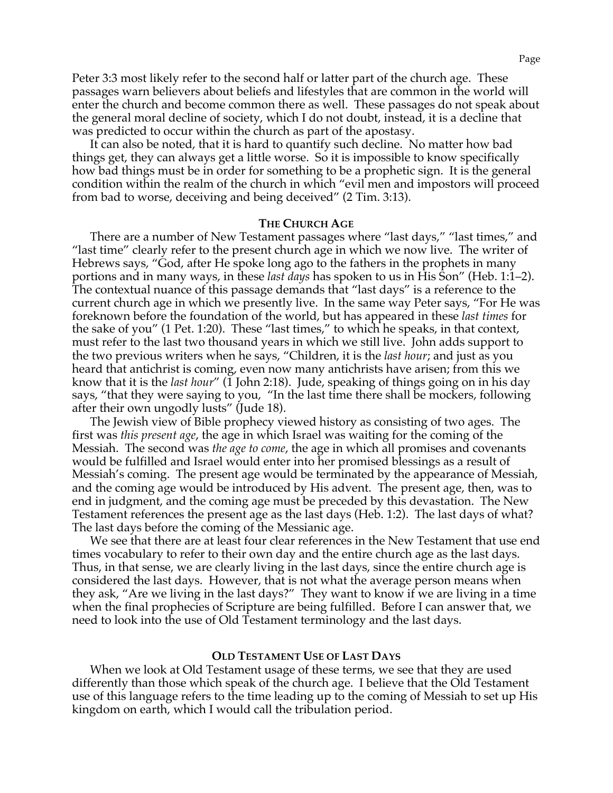Peter 3:3 most likely refer to the second half or latter part of the church age. These passages warn believers about beliefs and lifestyles that are common in the world will enter the church and become common there as well. These passages do not speak about the general moral decline of society, which I do not doubt, instead, it is a decline that was predicted to occur within the church as part of the apostasy.

It can also be noted, that it is hard to quantify such decline. No matter how bad things get, they can always get a little worse. So it is impossible to know specifically how bad things must be in order for something to be a prophetic sign. It is the general condition within the realm of the church in which "evil men and impostors will proceed from bad to worse, deceiving and being deceived" (2 Tim. 3:13).

### **THE CHURCH AGE**

There are a number of New Testament passages where "last days," "last times," and "last time" clearly refer to the present church age in which we now live. The writer of Hebrews says, "God, after He spoke long ago to the fathers in the prophets in many portions and in many ways, in these *last days* has spoken to us in His Son" (Heb. 1:1–2). The contextual nuance of this passage demands that "last days" is a reference to the current church age in which we presently live. In the same way Peter says, "For He was foreknown before the foundation of the world, but has appeared in these *last times* for the sake of you" (1 Pet. 1:20). These "last times," to which he speaks, in that context, must refer to the last two thousand years in which we still live. John adds support to the two previous writers when he says, "Children, it is the *last hour*; and just as you heard that antichrist is coming, even now many antichrists have arisen; from this we know that it is the *last hour"* (1 John 2:18). Jude, speaking of things going on in his day says, "that they were saying to you, "In the last time there shall be mockers, following after their own ungodly lusts" (Jude 18).

The Jewish view of Bible prophecy viewed history as consisting of two ages. The first was *this present age*, the age in which Israel was waiting for the coming of the Messiah. The second was *the age to come*, the age in which all promises and covenants would be fulfilled and Israel would enter into her promised blessings as a result of Messiah's coming. The present age would be terminated by the appearance of Messiah, and the coming age would be introduced by His advent. The present age, then, was to end in judgment, and the coming age must be preceded by this devastation. The New Testament references the present age as the last days (Heb. 1:2). The last days of what? The last days before the coming of the Messianic age.

We see that there are at least four clear references in the New Testament that use end times vocabulary to refer to their own day and the entire church age as the last days. Thus, in that sense, we are clearly living in the last days, since the entire church age is considered the last days. However, that is not what the average person means when they ask, "Are we living in the last days?" They want to know if we are living in a time when the final prophecies of Scripture are being fulfilled. Before I can answer that, we need to look into the use of Old Testament terminology and the last days.

### **OLD TESTAMENT USE OF LAST DAYS**

When we look at Old Testament usage of these terms, we see that they are used differently than those which speak of the church age. I believe that the Old Testament use of this language refers to the time leading up to the coming of Messiah to set up His kingdom on earth, which I would call the tribulation period.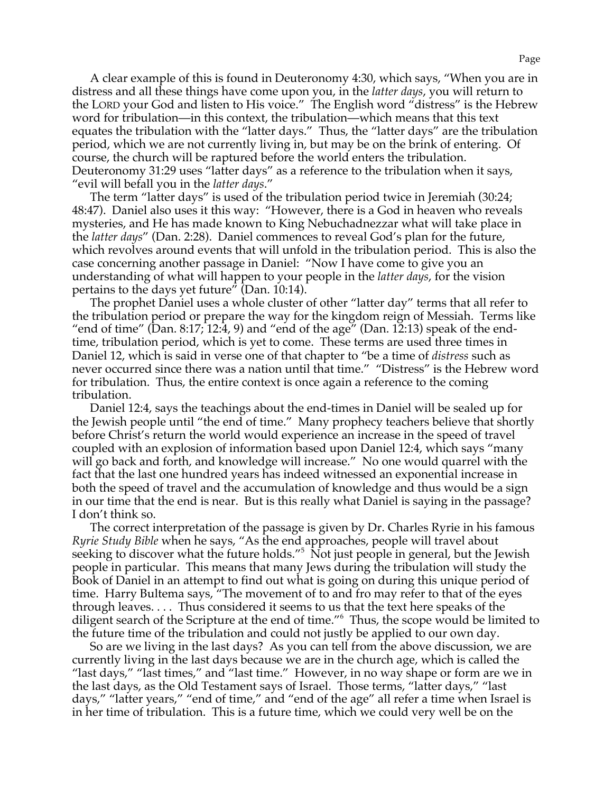A clear example of this is found in Deuteronomy 4:30, which says, "When you are in distress and all these things have come upon you, in the *latter days*, you will return to the LORD your God and listen to His voice." The English word "distress" is the Hebrew word for tribulation—in this context, the tribulation—which means that this text equates the tribulation with the "latter days." Thus, the "latter days" are the tribulation period, which we are not currently living in, but may be on the brink of entering. Of course, the church will be raptured before the world enters the tribulation. Deuteronomy 31:29 uses "latter days" as a reference to the tribulation when it says, "evil will befall you in the *latter days*."

The term "latter days" is used of the tribulation period twice in Jeremiah (30:24; 48:47). Daniel also uses it this way: "However, there is a God in heaven who reveals mysteries, and He has made known to King Nebuchadnezzar what will take place in the *latter days*" (Dan. 2:28). Daniel commences to reveal God's plan for the future, which revolves around events that will unfold in the tribulation period. This is also the case concerning another passage in Daniel: "Now I have come to give you an understanding of what will happen to your people in the *latter days*, for the vision pertains to the days yet future" (Dan. 10:14).

The prophet Daniel uses a whole cluster of other "latter day" terms that all refer to the tribulation period or prepare the way for the kingdom reign of Messiah. Terms like "end of time" (Dan. 8:17; 12:4, 9) and "end of the age" (Dan. 12:13) speak of the endtime, tribulation period, which is yet to come. These terms are used three times in Daniel 12, which is said in verse one of that chapter to "be a time of *distress* such as never occurred since there was a nation until that time." "Distress" is the Hebrew word for tribulation. Thus, the entire context is once again a reference to the coming tribulation.

Daniel 12:4, says the teachings about the end-times in Daniel will be sealed up for the Jewish people until "the end of time." Many prophecy teachers believe that shortly before Christ's return the world would experience an increase in the speed of travel coupled with an explosion of information based upon Daniel 12:4, which says "many will go back and forth, and knowledge will increase." No one would quarrel with the fact that the last one hundred years has indeed witnessed an exponential increase in both the speed of travel and the accumulation of knowledge and thus would be a sign in our time that the end is near. But is this really what Daniel is saying in the passage? I don't think so.

The correct interpretation of the passage is given by Dr. Charles Ryrie in his famous *Ryrie Study Bible* when he says, "As the end approaches, people will travel about seeking to discover what the future holds."<sup>5</sup> Not just people in general, but the Jewish people in particular. This means that many Jews during the tribulation will study the Book of Daniel in an attempt to find out what is going on during this unique period of time. Harry Bultema says, "The movement of to and fro may refer to that of the eyes through leaves. . . . Thus considered it seems to us that the text here speaks of the diligent search of the Scripture at the end of time."<sup>6</sup> Thus, the scope would be limited to the future time of the tribulation and could not justly be applied to our own day.

So are we living in the last days? As you can tell from the above discussion, we are currently living in the last days because we are in the church age, which is called the "last days," "last times," and "last time." However, in no way shape or form are we in the last days, as the Old Testament says of Israel. Those terms, "latter days," "last days," "latter years," "end of time," and "end of the age" all refer a time when Israel is in her time of tribulation. This is a future time, which we could very well be on the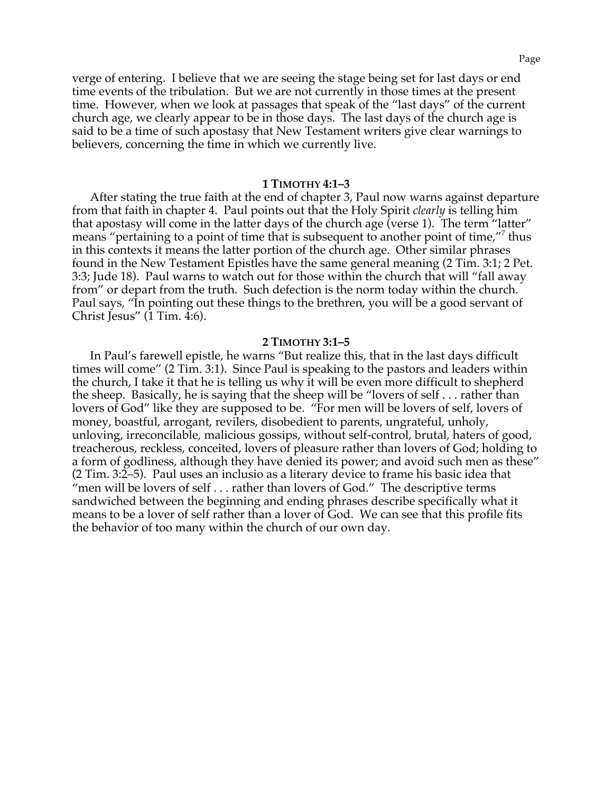verge of entering. I believe that we are seeing the stage being set for last days or end time events of the tribulation. But we are not currently in those times at the present time. However, when we look at passages that speak of the "last days" of the current church age, we clearly appear to be in those days. The last days of the church age is said to be a time of such apostasy that New Testament writers give clear warnings to believers, concerning the time in which we currently live.

### **1 TIMOTHY 4:1–3**

After stating the true faith at the end of chapter 3, Paul now warns against departure from that faith in chapter 4. Paul points out that the Holy Spirit *clearly* is telling him that apostasy will come in the latter days of the church age (verse 1). The term "latter" means "pertaining to a point of time that is subsequent to another point of time,"<sup>7</sup> thus in this contexts it means the latter portion of the church age. Other similar phrases found in the New Testament Epistles have the same general meaning (2 Tim. 3:1; 2 Pet. 3:3; Jude 18). Paul warns to watch out for those within the church that will "fall away from" or depart from the truth. Such defection is the norm today within the church. Paul says, "In pointing out these things to the brethren, you will be a good servant of Christ Jesus" (1 Tim. 4:6).

### **2 TIMOTHY 3:1–5**

In Paul's farewell epistle, he warns "But realize this, that in the last days difficult times will come" (2 Tim. 3:1). Since Paul is speaking to the pastors and leaders within the church, I take it that he is telling us why it will be even more difficult to shepherd the sheep. Basically, he is saying that the sheep will be "lovers of self . . . rather than lovers of God" like they are supposed to be. "For men will be lovers of self, lovers of money, boastful, arrogant, revilers, disobedient to parents, ungrateful, unholy, unloving, irreconcilable, malicious gossips, without self-control, brutal, haters of good, treacherous, reckless, conceited, lovers of pleasure rather than lovers of God; holding to a form of godliness, although they have denied its power; and avoid such men as these" (2 Tim. 3:2–5). Paul uses an inclusio as a literary device to frame his basic idea that "men will be lovers of self . . . rather than lovers of God." The descriptive terms sandwiched between the beginning and ending phrases describe specifically what it means to be a lover of self rather than a lover of God. We can see that this profile fits the behavior of too many within the church of our own day.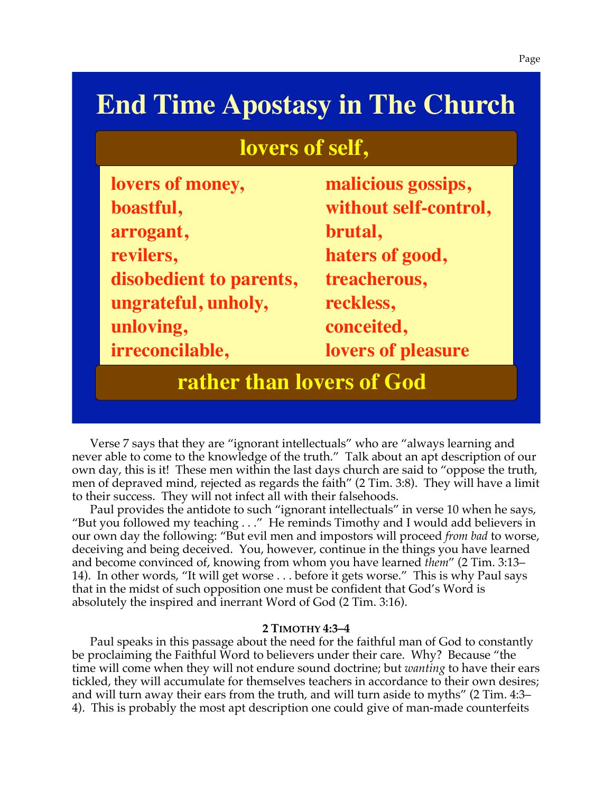# **End Time Apostasy in The Church**

## **lovers of self,**

| lovers of money,        | malicious gossips,    |
|-------------------------|-----------------------|
| boastful,               | without self-control, |
| arrogant,               | brutal,               |
| revilers,               | haters of good,       |
| disobedient to parents, | treacherous,          |
| ungrateful, unholy,     | reckless,             |
| unloving,               | conceited,            |
| irreconcilable,         | lovers of pleasure    |
|                         |                       |

### **rather than lovers of God**

Verse 7 says that they are "ignorant intellectuals" who are "always learning and never able to come to the knowledge of the truth." Talk about an apt description of our own day, this is it! These men within the last days church are said to "oppose the truth, men of depraved mind, rejected as regards the faith" (2 Tim. 3:8). They will have a limit to their success. They will not infect all with their falsehoods.

Paul provides the antidote to such "ignorant intellectuals" in verse 10 when he says, "But you followed my teaching . . ." He reminds Timothy and I would add believers in our own day the following: "But evil men and impostors will proceed *from bad* to worse, deceiving and being deceived. You, however, continue in the things you have learned and become convinced of, knowing from whom you have learned *them*" (2 Tim. 3:13– 14). In other words, "It will get worse . . . before it gets worse." This is why Paul says that in the midst of such opposition one must be confident that God's Word is absolutely the inspired and inerrant Word of God (2 Tim. 3:16).

### **2 TIMOTHY 4:3–4**

Paul speaks in this passage about the need for the faithful man of God to constantly be proclaiming the Faithful Word to believers under their care. Why? Because "the time will come when they will not endure sound doctrine; but *wanting* to have their ears tickled, they will accumulate for themselves teachers in accordance to their own desires; and will turn away their ears from the truth, and will turn aside to myths" (2 Tim. 4:3– 4). This is probably the most apt description one could give of man-made counterfeits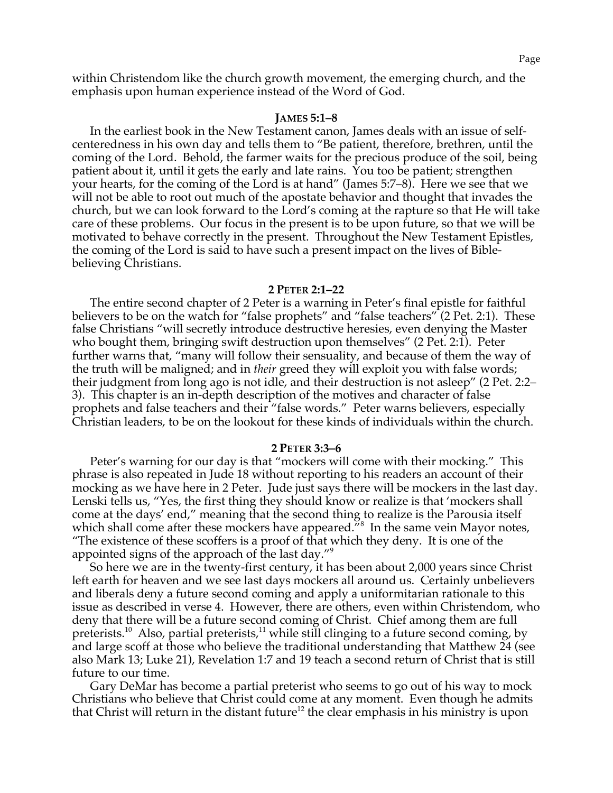within Christendom like the church growth movement, the emerging church, and the emphasis upon human experience instead of the Word of God.

### **JAMES 5:1–8**

In the earliest book in the New Testament canon, James deals with an issue of selfcenteredness in his own day and tells them to "Be patient, therefore, brethren, until the coming of the Lord. Behold, the farmer waits for the precious produce of the soil, being patient about it, until it gets the early and late rains. You too be patient; strengthen your hearts, for the coming of the Lord is at hand" (James 5:7–8). Here we see that we will not be able to root out much of the apostate behavior and thought that invades the church, but we can look forward to the Lord's coming at the rapture so that He will take care of these problems. Our focus in the present is to be upon future, so that we will be motivated to behave correctly in the present. Throughout the New Testament Epistles, the coming of the Lord is said to have such a present impact on the lives of Biblebelieving Christians.

### **2 PETER 2:1–22**

The entire second chapter of 2 Peter is a warning in Peter's final epistle for faithful believers to be on the watch for "false prophets" and "false teachers" (2 Pet. 2:1). These false Christians "will secretly introduce destructive heresies, even denying the Master who bought them, bringing swift destruction upon themselves" (2 Pet. 2:1). Peter further warns that, "many will follow their sensuality, and because of them the way of the truth will be maligned; and in *their* greed they will exploit you with false words; their judgment from long ago is not idle, and their destruction is not asleep" (2 Pet. 2:2– 3). This chapter is an in-depth description of the motives and character of false prophets and false teachers and their "false words." Peter warns believers, especially Christian leaders, to be on the lookout for these kinds of individuals within the church.

### **2 PETER 3:3–6**

Peter's warning for our day is that "mockers will come with their mocking." This phrase is also repeated in Jude 18 without reporting to his readers an account of their mocking as we have here in 2 Peter. Jude just says there will be mockers in the last day. Lenski tells us, "Yes, the first thing they should know or realize is that 'mockers shall come at the days' end," meaning that the second thing to realize is the Parousia itself which shall come after these mockers have appeared.<sup>78</sup> In the same vein Mayor notes, "The existence of these scoffers is a proof of that which they deny. It is one of the appointed signs of the approach of the last day."<sup>9</sup>

So here we are in the twenty-first century, it has been about 2,000 years since Christ left earth for heaven and we see last days mockers all around us. Certainly unbelievers and liberals deny a future second coming and apply a uniformitarian rationale to this issue as described in verse 4. However, there are others, even within Christendom, who deny that there will be a future second coming of Christ. Chief among them are full preterists.<sup>10</sup> Also, partial preterists,<sup>11</sup> while still clinging to a future second coming, by and large scoff at those who believe the traditional understanding that Matthew 24 (see also Mark 13; Luke 21), Revelation 1:7 and 19 teach a second return of Christ that is still future to our time.

Gary DeMar has become a partial preterist who seems to go out of his way to mock Christians who believe that Christ could come at any moment. Even though he admits that Christ will return in the distant future<sup>12</sup> the clear emphasis in his ministry is upon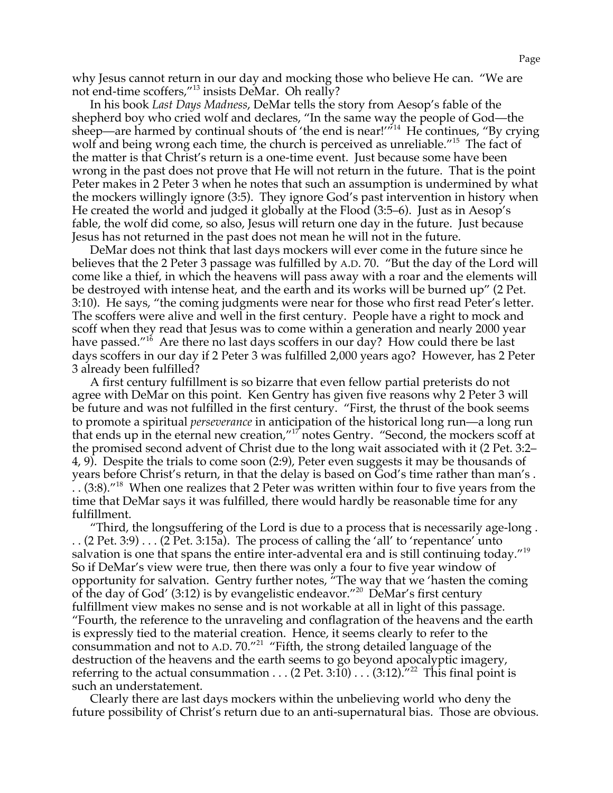why Jesus cannot return in our day and mocking those who believe He can. "We are not end-time scoffers,"13 insists DeMar. Oh really?

In his book *Last Days Madness*, DeMar tells the story from Aesop's fable of the shepherd boy who cried wolf and declares, "In the same way the people of God—the sheep—are harmed by continual shouts of 'the end is near!'<sup>"14</sup> He continues, "By crying wolf and being wrong each time, the church is perceived as unreliable."<sup>15</sup> The fact of the matter is that Christ's return is a one-time event. Just because some have been wrong in the past does not prove that He will not return in the future. That is the point Peter makes in 2 Peter 3 when he notes that such an assumption is undermined by what the mockers willingly ignore (3:5). They ignore God's past intervention in history when He created the world and judged it globally at the Flood (3:5–6). Just as in Aesop's fable, the wolf did come, so also, Jesus will return one day in the future. Just because Jesus has not returned in the past does not mean he will not in the future.

DeMar does not think that last days mockers will ever come in the future since he believes that the 2 Peter 3 passage was fulfilled by A.D. 70. "But the day of the Lord will come like a thief, in which the heavens will pass away with a roar and the elements will be destroyed with intense heat, and the earth and its works will be burned up" (2 Pet. 3:10). He says, "the coming judgments were near for those who first read Peter's letter. The scoffers were alive and well in the first century. People have a right to mock and scoff when they read that Jesus was to come within a generation and nearly 2000 year have passed."<sup>16</sup> Are there no last days scoffers in our day? How could there be last days scoffers in our day if 2 Peter 3 was fulfilled 2,000 years ago? However, has 2 Peter 3 already been fulfilled?

A first century fulfillment is so bizarre that even fellow partial preterists do not agree with DeMar on this point. Ken Gentry has given five reasons why 2 Peter 3 will be future and was not fulfilled in the first century. "First, the thrust of the book seems to promote a spiritual *perseverance* in anticipation of the historical long run—a long run that ends up in the eternal new creation,"17 notes Gentry. "Second, the mockers scoff at the promised second advent of Christ due to the long wait associated with it (2 Pet. 3:2– 4, 9). Despite the trials to come soon (2:9), Peter even suggests it may be thousands of years before Christ's return, in that the delay is based on God's time rather than man's .  $\ldots$  (3:8).<sup> $718$ </sup> When one realizes that 2 Peter was written within four to five years from the time that DeMar says it was fulfilled, there would hardly be reasonable time for any fulfillment.

"Third, the longsuffering of the Lord is due to a process that is necessarily age-long .  $\ldots$  (2 Pet. 3:9)  $\ldots$  (2 Pet. 3:15a). The process of calling the 'all' to 'repentance' unto salvation is one that spans the entire inter-advental era and is still continuing today."<sup>19</sup> So if DeMar's view were true, then there was only a four to five year window of opportunity for salvation. Gentry further notes, "The way that we 'hasten the coming of the day of God' (3:12) is by evangelistic endeavor."20 DeMar's first century fulfillment view makes no sense and is not workable at all in light of this passage. "Fourth, the reference to the unraveling and conflagration of the heavens and the earth is expressly tied to the material creation. Hence, it seems clearly to refer to the consummation and not to A.D.  $70.^{''21}$  "Fifth, the strong detailed language of the destruction of the heavens and the earth seems to go beyond apocalyptic imagery, referring to the actual consummation . . . (2 Pet. 3:10) . . . (3:12).<sup>722</sup> This final point is such an understatement.

Clearly there are last days mockers within the unbelieving world who deny the future possibility of Christ's return due to an anti-supernatural bias. Those are obvious.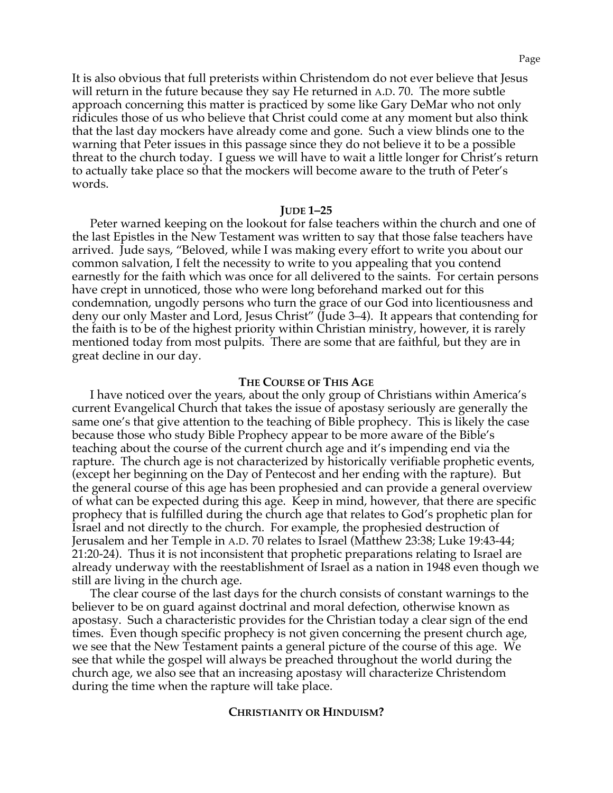It is also obvious that full preterists within Christendom do not ever believe that Jesus will return in the future because they say He returned in A.D. 70. The more subtle approach concerning this matter is practiced by some like Gary DeMar who not only ridicules those of us who believe that Christ could come at any moment but also think that the last day mockers have already come and gone. Such a view blinds one to the warning that Peter issues in this passage since they do not believe it to be a possible threat to the church today. I guess we will have to wait a little longer for Christ's return to actually take place so that the mockers will become aware to the truth of Peter's words.

### **JUDE 1–25**

Peter warned keeping on the lookout for false teachers within the church and one of the last Epistles in the New Testament was written to say that those false teachers have arrived. Jude says, "Beloved, while I was making every effort to write you about our common salvation, I felt the necessity to write to you appealing that you contend earnestly for the faith which was once for all delivered to the saints. For certain persons have crept in unnoticed, those who were long beforehand marked out for this condemnation, ungodly persons who turn the grace of our God into licentiousness and deny our only Master and Lord, Jesus Christ" (Jude 3–4). It appears that contending for the faith is to be of the highest priority within Christian ministry, however, it is rarely mentioned today from most pulpits. There are some that are faithful, but they are in great decline in our day.

### **THE COURSE OF THIS AGE**

I have noticed over the years, about the only group of Christians within America's current Evangelical Church that takes the issue of apostasy seriously are generally the same one's that give attention to the teaching of Bible prophecy. This is likely the case because those who study Bible Prophecy appear to be more aware of the Bible's teaching about the course of the current church age and it's impending end via the rapture. The church age is not characterized by historically verifiable prophetic events, (except her beginning on the Day of Pentecost and her ending with the rapture). But the general course of this age has been prophesied and can provide a general overview of what can be expected during this age. Keep in mind, however, that there are specific prophecy that is fulfilled during the church age that relates to God's prophetic plan for Israel and not directly to the church. For example, the prophesied destruction of Jerusalem and her Temple in A.D. 70 relates to Israel (Matthew 23:38; Luke 19:43-44; 21:20-24). Thus it is not inconsistent that prophetic preparations relating to Israel are already underway with the reestablishment of Israel as a nation in 1948 even though we still are living in the church age.

The clear course of the last days for the church consists of constant warnings to the believer to be on guard against doctrinal and moral defection, otherwise known as apostasy. Such a characteristic provides for the Christian today a clear sign of the end times. Even though specific prophecy is not given concerning the present church age, we see that the New Testament paints a general picture of the course of this age. We see that while the gospel will always be preached throughout the world during the church age, we also see that an increasing apostasy will characterize Christendom during the time when the rapture will take place.

### **CHRISTIANITY OR HINDUISM?**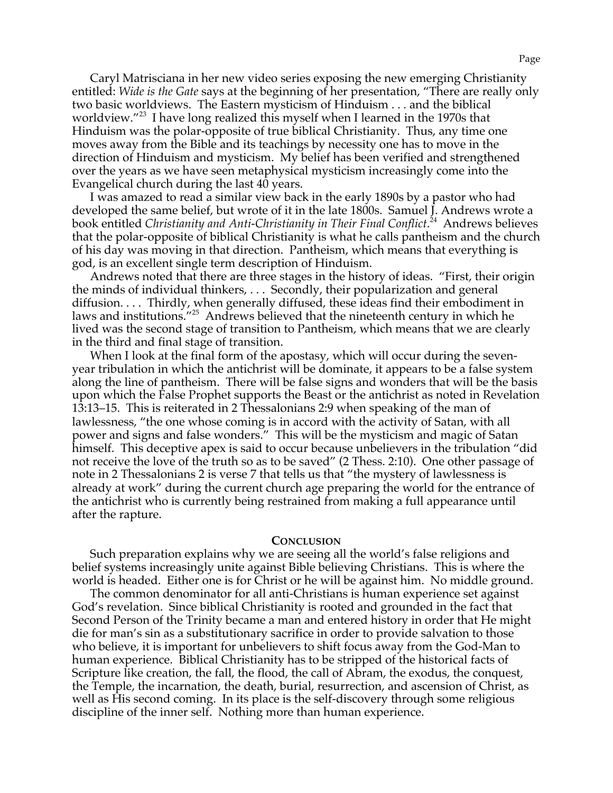Caryl Matrisciana in her new video series exposing the new emerging Christianity entitled: *Wide is the Gate* says at the beginning of her presentation, "There are really only two basic worldviews. The Eastern mysticism of Hinduism . . . and the biblical worldview."23 I have long realized this myself when I learned in the 1970s that Hinduism was the polar-opposite of true biblical Christianity. Thus, any time one moves away from the Bible and its teachings by necessity one has to move in the direction of Hinduism and mysticism. My belief has been verified and strengthened over the years as we have seen metaphysical mysticism increasingly come into the Evangelical church during the last 40 years.

I was amazed to read a similar view back in the early 1890s by a pastor who had developed the same belief, but wrote of it in the late 1800s. Samuel J. Andrews wrote a book entitled *Christianity and Anti-Christianity in Their Final Conflict*. 24 Andrews believes that the polar-opposite of biblical Christianity is what he calls pantheism and the church of his day was moving in that direction. Pantheism, which means that everything is god, is an excellent single term description of Hinduism.

Andrews noted that there are three stages in the history of ideas. "First, their origin the minds of individual thinkers, . . . Secondly, their popularization and general diffusion. . . . Thirdly, when generally diffused, these ideas find their embodiment in laws and institutions."25 Andrews believed that the nineteenth century in which he lived was the second stage of transition to Pantheism, which means that we are clearly in the third and final stage of transition.

When I look at the final form of the apostasy, which will occur during the sevenyear tribulation in which the antichrist will be dominate, it appears to be a false system along the line of pantheism. There will be false signs and wonders that will be the basis upon which the False Prophet supports the Beast or the antichrist as noted in Revelation 13:13–15. This is reiterated in 2 Thessalonians 2:9 when speaking of the man of lawlessness, "the one whose coming is in accord with the activity of Satan, with all power and signs and false wonders." This will be the mysticism and magic of Satan himself. This deceptive apex is said to occur because unbelievers in the tribulation "did not receive the love of the truth so as to be saved" (2 Thess. 2:10). One other passage of note in 2 Thessalonians 2 is verse 7 that tells us that "the mystery of lawlessness is already at work" during the current church age preparing the world for the entrance of the antichrist who is currently being restrained from making a full appearance until after the rapture.

### **CONCLUSION**

Such preparation explains why we are seeing all the world's false religions and belief systems increasingly unite against Bible believing Christians. This is where the world is headed. Either one is for Christ or he will be against him. No middle ground.

The common denominator for all anti-Christians is human experience set against God's revelation. Since biblical Christianity is rooted and grounded in the fact that Second Person of the Trinity became a man and entered history in order that He might die for man's sin as a substitutionary sacrifice in order to provide salvation to those who believe, it is important for unbelievers to shift focus away from the God-Man to human experience. Biblical Christianity has to be stripped of the historical facts of Scripture like creation, the fall, the flood, the call of Abram, the exodus, the conquest, the Temple, the incarnation, the death, burial, resurrection, and ascension of Christ, as well as His second coming. In its place is the self-discovery through some religious discipline of the inner self. Nothing more than human experience.